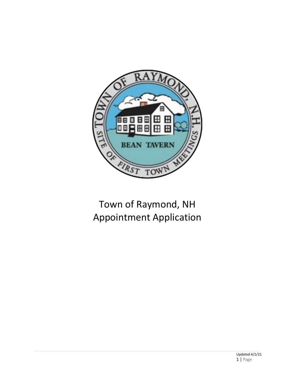

## Town of Raymond, NH Appointment Application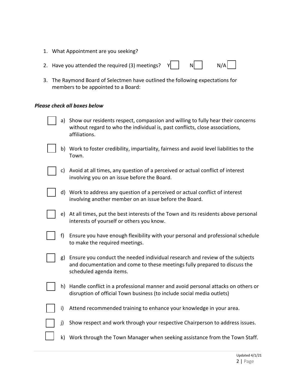- 1. What Appointment are you seeking?
- 2. Have you attended the required (3) meetings?  $Y \begin{bmatrix} | & | & N| \\ | & N \end{bmatrix}$  N/A
- 3. The Raymond Board of Selectmen have outlined the following expectations for members to be appointed to a Board:

## *Please check all boxes below*

- a) Show our residents respect, compassion and willing to fully hear their concerns without regard to who the individual is, past conflicts, close associations, affiliations.
- b) Work to foster credibility, impartiality, fairness and avoid level liabilities to the Town.
- c) Avoid at all times, any question of a perceived or actual conflict of interest involving you on an issue before the Board.
- d) Work to address any question of a perceived or actual conflict of interest involving another member on an issue before the Board.
- e) At all times, put the best interests of the Town and its residents above personal interests of yourself or others you know.
- f) Ensure you have enough flexibility with your personal and professional schedule to make the required meetings.
- g) Ensure you conduct the needed individual research and review of the subjects and documentation and come to these meetings fully prepared to discuss the scheduled agenda items.
- h) Handle conflict in a professional manner and avoid personal attacks on others or disruption of official Town business (to include social media outlets)
- i) Attend recommended training to enhance your knowledge in your area.
	- j) Show respect and work through your respective Chairperson to address issues.
	- k) Work through the Town Manager when seeking assistance from the Town Staff.